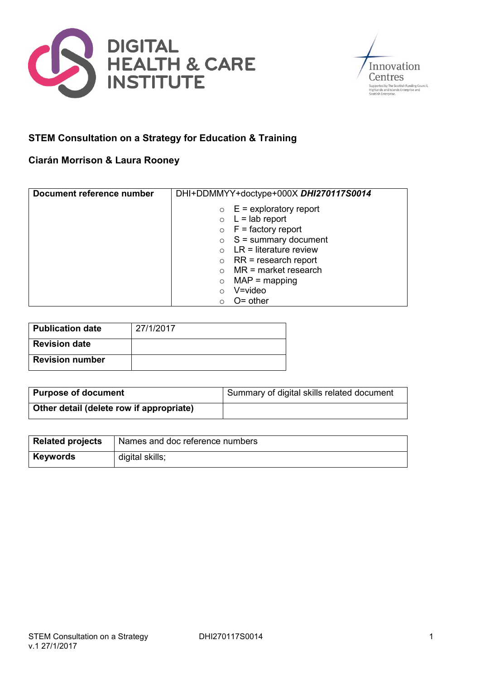



# **STEM Consultation on a Strategy for Education & Training**

# **Ciarán Morrison & Laura Rooney**

| Document reference number | DHI+DDMMYY+doctype+000X DHI270117S0014 |
|---------------------------|----------------------------------------|
|                           | $\circ$ E = exploratory report         |
|                           | $\circ$ L = lab report                 |
|                           | $\circ$ F = factory report             |
|                           | $\circ$ S = summary document           |
|                           | $\circ$ LR = literature review         |
|                           | $\circ$ RR = research report           |
|                           | MR = market research                   |
|                           | $MAP = mapping$<br>$\circ$             |
|                           | $V = video$<br>$\circ$                 |
|                           | $O =$ other<br>∩                       |

| Publication date       | 27/1/2017 |
|------------------------|-----------|
| <b>Revision date</b>   |           |
| <b>Revision number</b> |           |

| <b>Purpose of document</b>               | Summary of digital skills related document |
|------------------------------------------|--------------------------------------------|
| Other detail (delete row if appropriate) |                                            |

| <b>Related projects</b> | Names and doc reference numbers |
|-------------------------|---------------------------------|
| <b>Keywords</b>         | digital skills;                 |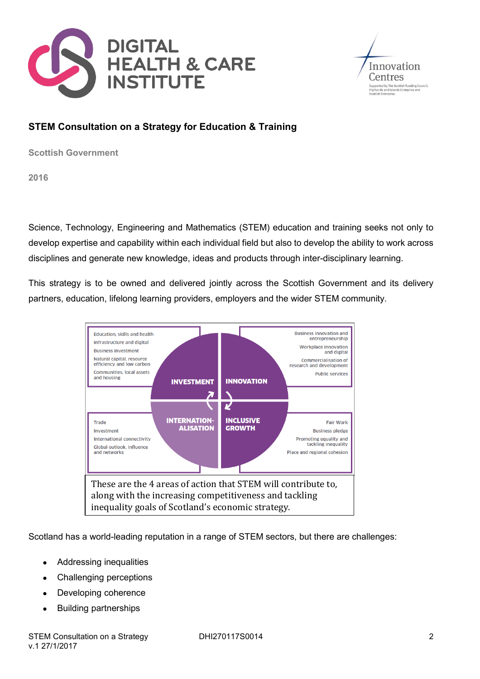



# **STEM Consultation on a Strategy for Education & Training**

**Scottish Government**

**2016**

Science, Technology, Engineering and Mathematics (STEM) education and training seeks not only to develop expertise and capability within each individual field but also to develop the ability to work across disciplines and generate new knowledge, ideas and products through inter-disciplinary learning.

This strategy is to be owned and delivered jointly across the Scottish Government and its delivery partners, education, lifelong learning providers, employers and the wider STEM community.



Scotland has a world-leading reputation in a range of STEM sectors, but there are challenges:

- Addressing inequalities
- Challenging perceptions
- Developing coherence
- Building partnerships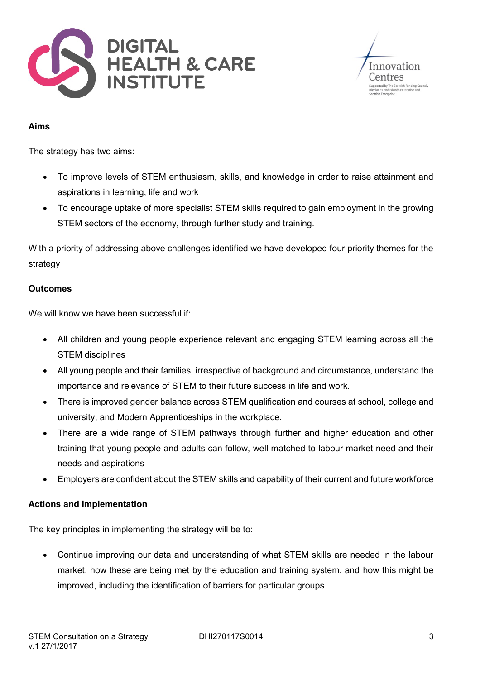



### **Aims**

The strategy has two aims:

- To improve levels of STEM enthusiasm, skills, and knowledge in order to raise attainment and aspirations in learning, life and work
- To encourage uptake of more specialist STEM skills required to gain employment in the growing STEM sectors of the economy, through further study and training.

With a priority of addressing above challenges identified we have developed four priority themes for the strategy

### **Outcomes**

We will know we have been successful if:

- All children and young people experience relevant and engaging STEM learning across all the STEM disciplines
- All young people and their families, irrespective of background and circumstance, understand the importance and relevance of STEM to their future success in life and work.
- There is improved gender balance across STEM qualification and courses at school, college and university, and Modern Apprenticeships in the workplace.
- There are a wide range of STEM pathways through further and higher education and other training that young people and adults can follow, well matched to labour market need and their needs and aspirations
- Employers are confident about the STEM skills and capability of their current and future workforce

### **Actions and implementation**

The key principles in implementing the strategy will be to:

 Continue improving our data and understanding of what STEM skills are needed in the labour market, how these are being met by the education and training system, and how this might be improved, including the identification of barriers for particular groups.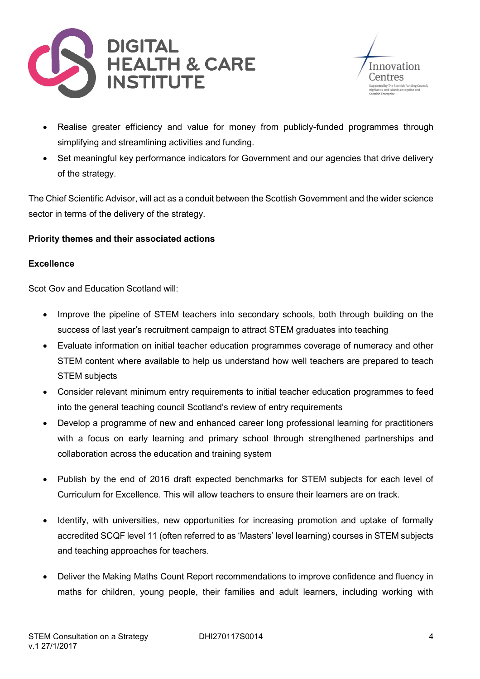



- Realise greater efficiency and value for money from publicly-funded programmes through simplifying and streamlining activities and funding.
- Set meaningful key performance indicators for Government and our agencies that drive delivery of the strategy.

The Chief Scientific Advisor, will act as a conduit between the Scottish Government and the wider science sector in terms of the delivery of the strategy.

## **Priority themes and their associated actions**

## **Excellence**

Scot Gov and Education Scotland will:

- Improve the pipeline of STEM teachers into secondary schools, both through building on the success of last year's recruitment campaign to attract STEM graduates into teaching
- Evaluate information on initial teacher education programmes coverage of numeracy and other STEM content where available to help us understand how well teachers are prepared to teach STEM subjects
- Consider relevant minimum entry requirements to initial teacher education programmes to feed into the general teaching council Scotland's review of entry requirements
- Develop a programme of new and enhanced career long professional learning for practitioners with a focus on early learning and primary school through strengthened partnerships and collaboration across the education and training system
- Publish by the end of 2016 draft expected benchmarks for STEM subjects for each level of Curriculum for Excellence. This will allow teachers to ensure their learners are on track.
- Identify, with universities, new opportunities for increasing promotion and uptake of formally accredited SCQF level 11 (often referred to as 'Masters' level learning) courses in STEM subjects and teaching approaches for teachers.
- Deliver the Making Maths Count Report recommendations to improve confidence and fluency in maths for children, young people, their families and adult learners, including working with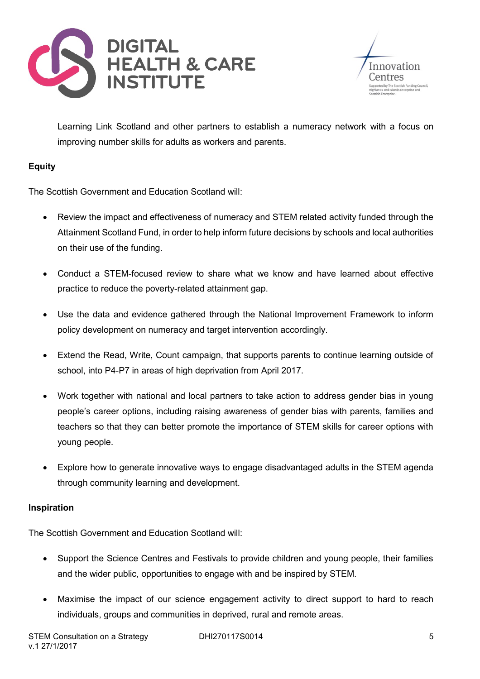



Learning Link Scotland and other partners to establish a numeracy network with a focus on improving number skills for adults as workers and parents.

## **Equity**

The Scottish Government and Education Scotland will:

- Review the impact and effectiveness of numeracy and STEM related activity funded through the Attainment Scotland Fund, in order to help inform future decisions by schools and local authorities on their use of the funding.
- Conduct a STEM-focused review to share what we know and have learned about effective practice to reduce the poverty-related attainment gap.
- Use the data and evidence gathered through the National Improvement Framework to inform policy development on numeracy and target intervention accordingly.
- Extend the Read, Write, Count campaign, that supports parents to continue learning outside of school, into P4-P7 in areas of high deprivation from April 2017.
- Work together with national and local partners to take action to address gender bias in young people's career options, including raising awareness of gender bias with parents, families and teachers so that they can better promote the importance of STEM skills for career options with young people.
- Explore how to generate innovative ways to engage disadvantaged adults in the STEM agenda through community learning and development.

## **Inspiration**

The Scottish Government and Education Scotland will:

- Support the Science Centres and Festivals to provide children and young people, their families and the wider public, opportunities to engage with and be inspired by STEM.
- Maximise the impact of our science engagement activity to direct support to hard to reach individuals, groups and communities in deprived, rural and remote areas.